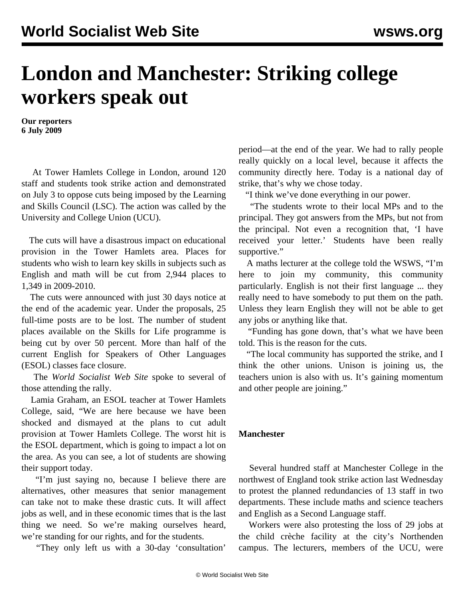## **London and Manchester: Striking college workers speak out**

**Our reporters 6 July 2009**

 At Tower Hamlets College in London, around 120 staff and students took strike action and demonstrated on July 3 to oppose cuts being imposed by the Learning and Skills Council (LSC). The action was called by the University and College Union (UCU).

 The cuts will have a disastrous impact on educational provision in the Tower Hamlets area. Places for students who wish to learn key skills in subjects such as English and math will be cut from 2,944 places to 1,349 in 2009-2010.

 The cuts were announced with just 30 days notice at the end of the academic year. Under the proposals, 25 full-time posts are to be lost. The number of student places available on the Skills for Life programme is being cut by over 50 percent. More than half of the current English for Speakers of Other Languages (ESOL) classes face closure.

 The *World Socialist Web Site* spoke to several of those attending the rally.

 Lamia Graham, an ESOL teacher at Tower Hamlets College, said, "We are here because we have been shocked and dismayed at the plans to cut adult provision at Tower Hamlets College. The worst hit is the ESOL department, which is going to impact a lot on the area. As you can see, a lot of students are showing their support today.

 "I'm just saying no, because I believe there are alternatives, other measures that senior management can take not to make these drastic cuts. It will affect jobs as well, and in these economic times that is the last thing we need. So we're making ourselves heard, we're standing for our rights, and for the students.

"They only left us with a 30-day 'consultation'

period—at the end of the year. We had to rally people really quickly on a local level, because it affects the community directly here. Today is a national day of strike, that's why we chose today.

"I think we've done everything in our power.

 "The students wrote to their local MPs and to the principal. They got answers from the MPs, but not from the principal. Not even a recognition that, 'I have received your letter.' Students have been really supportive."

 A maths lecturer at the college told the WSWS, "I'm here to join my community, this community particularly. English is not their first language ... they really need to have somebody to put them on the path. Unless they learn English they will not be able to get any jobs or anything like that.

 "Funding has gone down, that's what we have been told. This is the reason for the cuts.

 "The local community has supported the strike, and I think the other unions. Unison is joining us, the teachers union is also with us. It's gaining momentum and other people are joining."

## **Manchester**

 Several hundred staff at Manchester College in the northwest of England took strike action last Wednesday to protest the planned redundancies of 13 staff in two departments. These include maths and science teachers and English as a Second Language staff.

 Workers were also protesting the loss of 29 jobs at the child crèche facility at the city's Northenden campus. The lecturers, members of the UCU, were